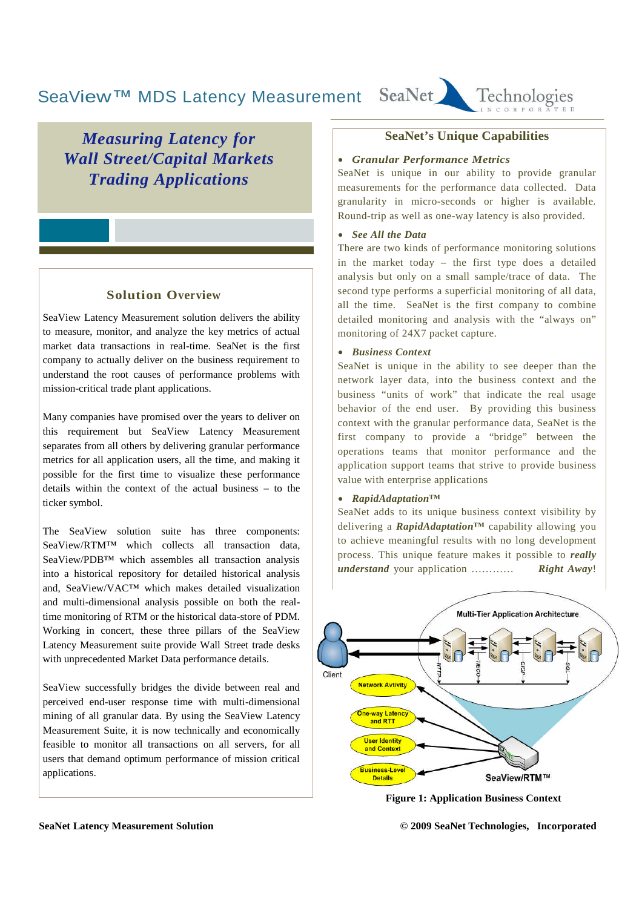#### SeaNet Technologies SeaView™ MDS Latency Measurement

*Measuring Latency for Wall Street/Capital Markets Trading Applications*

# **Solution Overview**

SeaView Latency Measurement solution delivers the ability to measure, monitor, and analyze the key metrics of actual market data transactions in real-time. SeaNet is the first company to actually deliver on the business requirement to understand the root causes of performance problems with mission-critical trade plant applications.

Many companies have promised over the years to deliver on this requirement but SeaView Latency Measurement separates from all others by delivering granular performance metrics for all application users, all the time, and making it possible for the first time to visualize these performance details within the context of the actual business – to the ticker symbol.

The SeaView solution suite has three components: SeaView/RTM™ which collects all transaction data, SeaView/PDB™ which assembles all transaction analysis into a historical repository for detailed historical analysis and, SeaView/VAC™ which makes detailed visualization and multi-dimensional analysis possible on both the realtime monitoring of RTM or the historical data-store of PDM. Working in concert, these three pillars of the SeaView Latency Measurement suite provide Wall Street trade desks with unprecedented Market Data performance details.

SeaView successfully bridges the divide between real and perceived end-user response time with multi-dimensional mining of all granular data. By using the SeaView Latency Measurement Suite, it is now technically and economically feasible to monitor all transactions on all servers, for all users that demand optimum performance of mission critical applications.

#### **SeaNet's Unique Capabilities**

#### *Granular Performance Metrics*

SeaNet is unique in our ability to provide granular measurements for the performance data collected. Data granularity in micro-seconds or higher is available. Round-trip as well as one-way latency is also provided.

#### *See All the Data*

There are two kinds of performance monitoring solutions in the market today – the first type does a detailed analysis but only on a small sample/trace of data. The second type performs a superficial monitoring of all data, all the time. SeaNet is the first company to combine detailed monitoring and analysis with the "always on" monitoring of 24X7 packet capture.

#### *Business Context*

SeaNet is unique in the ability to see deeper than the network layer data, into the business context and the business "units of work" that indicate the real usage behavior of the end user. By providing this business context with the granular performance data, SeaNet is the first company to provide a "bridge" between the operations teams that monitor performance and the application support teams that strive to provide business value with enterprise applications

#### *RapidAdaptation™*

SeaNet adds to its unique business context visibility by delivering a *RapidAdaptation™* capability allowing you to achieve meaningful results with no long development process. This unique feature makes it possible to *really understand* your application ………… *Right Away*!



**Figure 1: Application Business Context**

**SeaNet Latency Measurement Solution © 2009 SeaNet Technologies, Incorporated**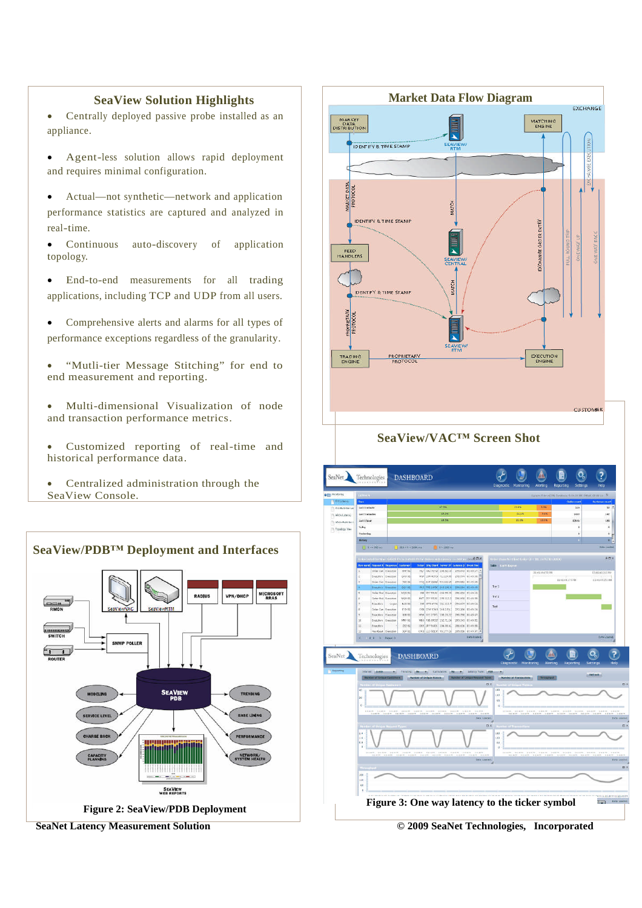#### **SeaView Solution Highlights**

- Centrally deployed passive probe installed as an appliance.
- Agent-less solution allows rapid deployment and requires minimal configuration.
- Actual—not synthetic—network and application performance statistics are captured and analyzed in real-time.
- Continuous auto-discovery of application topology.
- End-to-end measurements for all trading applications, including TCP and UDP from all users.
- Comprehensive alerts and alarms for all types of performance exceptions regardless of the granularity.
- "Mutli-tier Message Stitching" for end to end measurement and reporting.
- Multi-dimensional Visualization of node and transaction performance metrics.
- Customized reporting of real-time and historical performance data.
- Centralized administration through the SeaView Console.





**SeaNet Latency Measurement Solution © 2009 SeaNet Technologies, Incorporated**